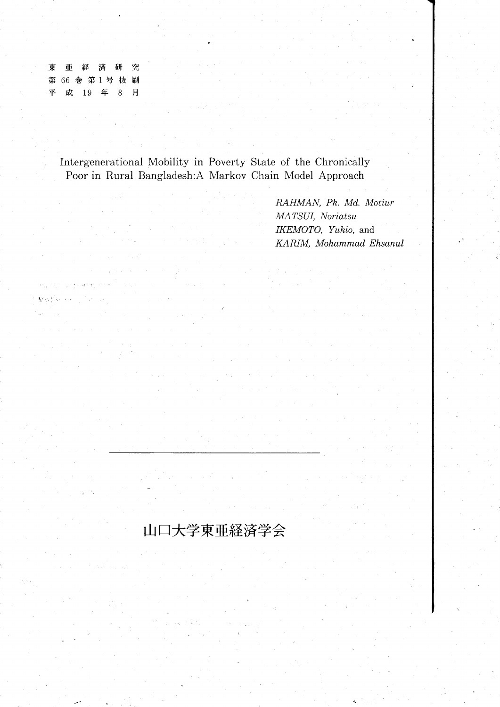東 究 亜 研 経 済 第 66 巻 第1号 抜 刷 平 成 19 年  $8$ 月

 $\sum_{i=1}^n \sum_{j=1}^n \sum_{j=1}^n \sum_{j=1}^n$ 

 $\mathcal{A}^{\mathcal{A}}$ 

Intergenerational Mobility in Poverty State of the Chronically Poor in Rural Bangladesh:A Markov Chain Model Approach

山口大学東亜経済学会

RAHMAN, Pk. Md. Motiur MATSUI, Noriatsu IKEMOTO, Yukio, and KARIM, Mohammad Ehsanul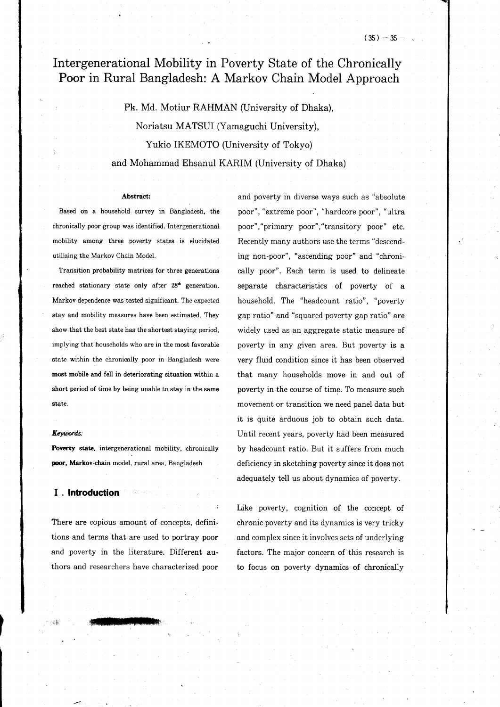# Intergenerational Mobility in Poverty State of the Chronically Poor in Rural Bangladesh: A Markov Chain Model Approach

Pk. Md. Motiur RAHMAN (University of Dhaka), Noriatsu MATSUI (Yamaguchi University), Yukio IKEMOTO (University of Tokyo) and Mohammad Ehsanul KARIM (University of Dhaka)

.

#### Abstract:

Based on a household survey in Bangladesh, the chronically poor group was identified. Intergenerational mobility among three poverty states is eiucidated utilizing the Markov Chain Model.

Transition probability matrices for three generations reached stationary state only after 28<sup>th</sup> generation. Markov dependence was tested significant. The expected stay and mobility measures have been estimated. They show that the best state has the shortest staying period, implying that households who are in the most favorable state within the chronically poor in Bangladesh were most mobile and fell in deteriorating situation within a short period of time by being unable to stay in the same state.

#### Keywords:

Poverty state, intergenerational mobility, chronically poor, Markov-chain model, rural area, Bangladesh

## I . lntroduction

There are copious amount of concepts, definitions and terms that are used to portray poor and poverty in the literature. Different authors and researchers have characterized ooor

l||ilmttff||ilmttf

and poverty in diverse ways such as "absolute poor", "extreme poor", "hardcore poor", "ultra poor","primary poor","transitory poor" etc. Recently many authors use the terms "descending non-poor", "ascending poor" and "chronically poor". Each term is used to delineate separate characteristics of poverty of a household. The "headcount ratio", "poverty gap ratio" and "squared poverty gap ratio" are widely used as an aggregate static measure of poverty in any given area. But poverty is a very fluid condition since it has been observed that many households move in and out of poverty in the course of time. To measure such movement or transition we need panel data but it is quite arduous job to obtain such data. Until recent years, poverty had been measured by headcount ratio. But it suffers from much deficiency in sketching poverty since it does not adequately tell us about dynamics of poverty.

Like poverty, cognition of the concept of chronic poverty and its dynamics is very tricky and complex since it involves sets of underlying factors. The major concern of this research is to focus on poverty dynamics of chronically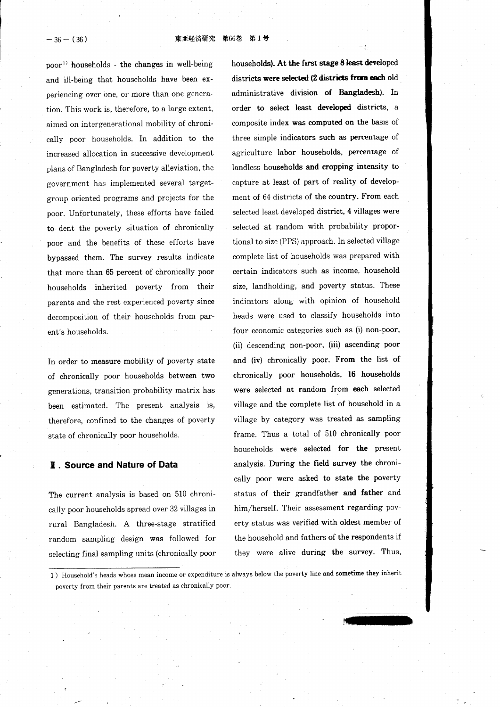東亜経済研究 第66巻 第1号

 $-36-(36)$ 

 $poor<sup>1</sup>$  households - the changes in well-being and ill-being that households have been experiencing over one, or more than one generation. This work is, therefore, to a large extent, aimed on intergenerational mobility of chronically poor households. In addition to the increased allocation in successive development plans of Bangiadesh for poverty alleviation, the government has implemented several targetgroup oriented programs and projects for the poor. Unfortunately, these efforts have failed to dent the poverty situation of chronically poor and the benefits of these efforts have bypassed them. The survey results indicate that more than 65 percent of chronically poor households inherited poverty from their parents and the rest experienced poverty since decomposition of their households from parent's households.

In order to measure mobility of poverty state of chronically poor households between two generations, transition probability matrix has been estimated. The present analysis is, therefore, confined to the changes of poverty state of chronically poor households.

### **II. Source and Nature of Data**

The current analysis is based on 510 chronically poor households spread over 32 viliages in rural Bangladesh. A three-stage stratified random sampling design was followed for selecting final sampling units (chronically poor households). At the first stage 8 least developed districts were selected (2 districts from each old administrative division of Bangladesh). In order to select least developed districts, a composite index was computed on the basis of three simple indicators such as percentage of agriculture labor households, percentage of landless households and cropping intensity to capture at least of part of reality of development of 64 districts of the country. From each selected least developed district, 4 villages were selected at random with probability proportional to size (PPS) approach. In selected village complete list of households was prepared with certain indicators such as income, household size, landholding, and poverty status. These indicators along with opinion of household heads were used to classify households into four economic categories such as (i) non-poor, (ii) descending non-poor, (iii) ascending poor and (iv) chronically poor. From the Iist of chronically poor households, 16 households were selected at random from each selected village and the complete list of household in a village by category was treated as sampling frame. Thus a total of 510 chronically poor households were selected for the present analysis. During the field survey the chronically poor were asked to state the poverty status of their grandfather and father and him/herself. Their assessment regarding poverty status was verified with oldest member of the household and fathers of the respondents if they were alive during the survey. Thus,

m

I ) Household's heads whose mean income or expenditure is always below the poverty line and sometime they inherit poverty from their parents are treated as chronically poor.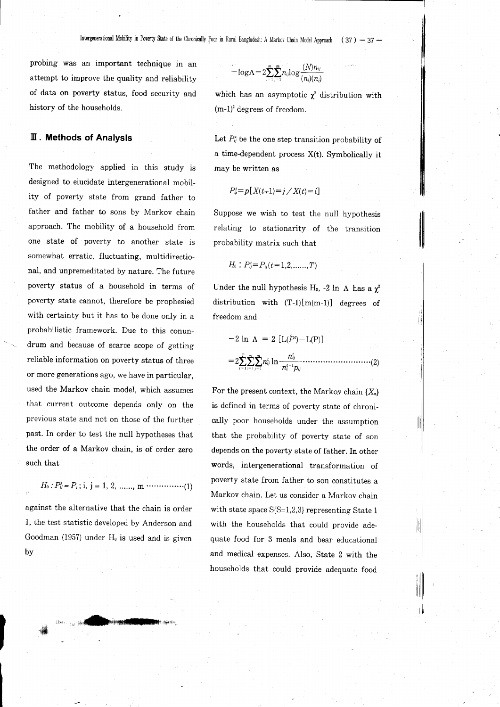probing was an important technique in an attempt to improve the quality and reliability of data on poverty status, food security and history of the households.

## III. Methods of Analysis

The methodology applied in this study is designed to elucidate intergenerational mobility of poverty state from grand father to father and father to sons by Markov chain approach. The mobility of a household from one state of poverty to another state is somewhat erratic, fluctuating, multidirectional, and unpremeditated by nature. The future poverty status of a household in terms of poverty state cannot, therefore be prophesied with certainty but it has to be done only in a probabilistic framework. Due to this conundrum and because of scarce scope of getting reliable information on poverty status of three or more generations ago, we have in particular, used the Markov chain model, which assumes that current outcome depends only on the previous state and not on those of the further past. In order to test the null hypotheses that the order of a Markov chain, is of order zero such that

$$
H_0: P_{ij}^0 = P_j
$$
; i, j = 1, 2, ......., m  $\dots \dots \dots \dots \dots (1)$ 

against the alternative that the chain is order 1, the test statistic developed by Anderson and Goodman (1957) under  $H_0$  is used and is given bv

 $\parallel$ 

$$
-\text{log}\Lambda\!=\!2\!\sum_{i=1}^{m}\!\sum_{j=1}^{m}\!n_{ij}\text{log}\frac{(N)n_{ij}}{(n_{i})(n_{j})}
$$

which has an asymptotic  $\chi^2$  distribution with  $(m-1)^2$  degrees of freedom.

Let  $P_{ij}^t$  be the one step transition probability of a time-dependent process  $X(t)$ . Symbolically it may be written as

$$
P_{ij}^t = p[X(t+1)=j \, / \, X(t)=i]
$$

Suppose we wish to test the null hypothesis relating to stationarity of the transition probability matrix such that

$$
H_{\scriptscriptstyle 0}: P_{\scriptscriptstyle ij}^{\scriptscriptstyle t}{=}P_{\scriptscriptstyle ij}(t{=}1{,}2{,}......{,}T)
$$

Under the null hypothesis H<sub>0</sub>, -2 ln  $\Lambda$  has a  $\chi^2$ distribution with  $(T-1)[m(m-1)]$  degrees of freedom and

$$
-2 \ln \Lambda = 2 \left[ L(\hat{P}^t) - L(P) \right]
$$
  
=  $2 \sum_{i=1}^{T} \sum_{i=1}^{m} n_{ij} \ln \frac{n_{ij}^t}{n_i^{t-1} p_{ij}}$ .................(2)

For the present context, the Markov chain  ${X_n}$ is defined in terms of poverty state of chronically poor households under the assumption that the probability of poverty state of son depends on the poverty state of father. In other words, intergenerational transformation of poverty state from father to son constitutes a Markov chain. Let us consider a Markov chain with state space  $S(S=1,2,3)$  representing State 1 with the households that could provide adequate food for 3 meals and bear educational and medical expenses. Also, State 2 with the households that could provide adequate food

',,,,' .,ll,.#h1i44{ffitk,lpl,r\*,

i{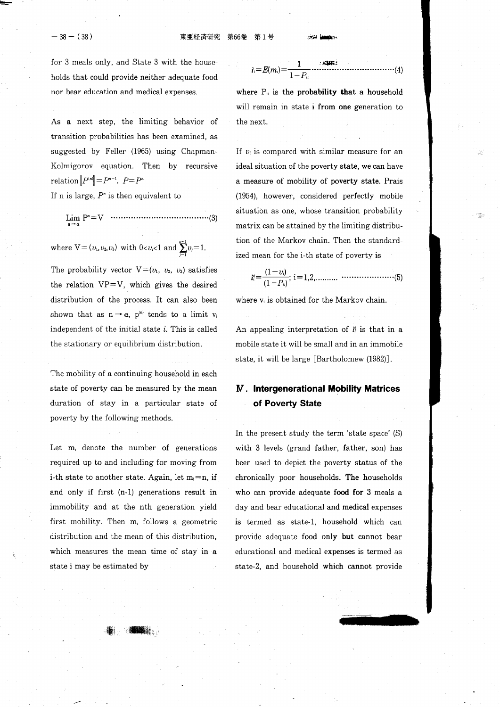i,:E(m,): .-: ^ ...........'...(4)

for 3 meals only, and State 3 with the households that could provide neither adequate food nor bear education and medical expenses.

As a next step, the limiting behavior of transition probabilities has been examined, as suggested by Feller (1965) using Chapman-Kolmigorov equation. Then by recursive relation  $||P^{(n)}|| = P^{n-1}$ .  $P = P^n$ 

If n is large,  $P<sup>n</sup>$  is then equivalent to

lg P':v .....................(3)

where  $V = (v_1, v_2, v_3)$  with  $0 < v_i < 1$  and  $\sum_{i=1}^{i-1} v_i = 1$ .

The probability vector  $V=(v_1, v_2, v_3)$  satisfies the relation  $VP=V$ , which gives the desired distribution of the process. It can also been shown that as  $n \rightarrow \alpha$ ,  $p^{(n)}$  tends to a limit  $v_j$ independent of the initial state  $i$ . This is called the stationary or equilibrium distribution.

The mobility of a continuing household in each state of poverty can be measured by the mean duration of stay in a particular state of poverty by the following methods.

Let  $m_i$  denote the number of generations required up to and including for moving from i-th state to another state. Again, let  $m_i=n$ , if and only if first (n-1) generations result in immobility and at the nth generation yield first mobility. Then  $m_i$  follows a geometric distribution and the mean of this distribution, which measures the mean time of stay in a state i may be estimated by

 $\left| \cdot \right\rangle$  , and a set of  $\left| \cdot \right\rangle$ 

$$
i_i=E(m_i)=\frac{1}{1-P_u}
$$

where  $P_{ii}$  is the probability that a household will remain in state i from one generation to the next.

If  $v_i$  is compared with similar measure for an ideal situation of the poverty state, we can have a measure of mobility of poverty state. Prais (1954), however, considered perfectly mobile situation as one, whose transition probability matrix can be attained by the limiting distribution of the Markov chain. Then the standardized mean for the i-th state of poverty is

/l-n) ,;:ffi; i: 1,2,.......... .....................(b) l!-riil

where  $v_i$  is obtained for the Markov chain.

An appealing interpretation of  $\mathbf{i}^s_i$  is that in a mobile state it will be small and in an immobile state, it will be large [Bartholomew (1982)].

# M. lntergenerational Mobility Matrices of Poverty State

In the present study the term 'state space' (S) with 3 levels (grand father, father, son) has been used to depict the poverty status of the chronically poor households. The households who can provide adequate food for 3 meals a day and bear educational and medical expenses is termed as state-1, household which can provide adequate food only but cannot bear educational and medical expenses is termed as state-2, and household which cannot provide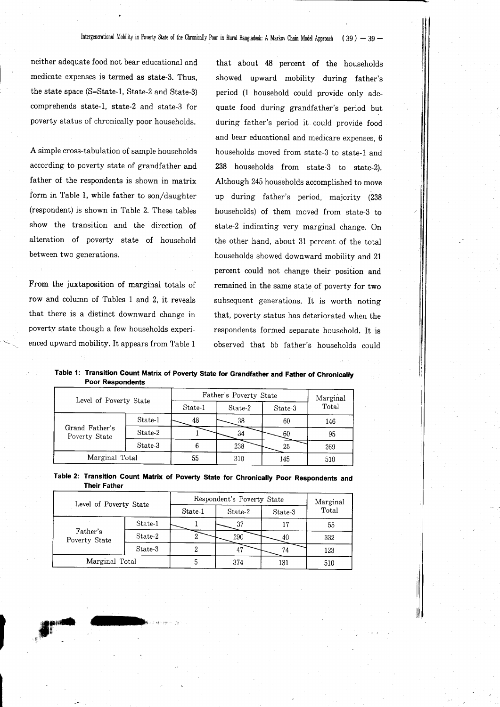## Intergenerational Mobility in Poverty State of the Chronically Poor in Rural Bangladesh: A Markov Chain Model Approach (39) - 39 -

neither adequate food not bear educational and medicate expenses is termed as state-3. Thus, the state space (S=State-1, State-2 and State-3) comprehends state-l, state-2 and state-3 for poverty status of chronically poor households.

A simple cross-tabulation of sample households according to poverty state of grandfather and father of the respondents is shown in matrix form in Table 1, while father to son/daughter (respondent) is shown in Table 2. These tables show the transition and the direction of alteration of poverty state of household between two generations.

From the juxtaposition of marginal totals of row and column of Tables L and 2, it reveals that there is a distinct downward change in poverty state though a few households experienced upward mobility. It appears from Table 1

I

that about 48 percent of the households showed upward mobility during father's period (1 household could provide only adequate food during grandfather's period but during father's period it could provide food and bear educationai and medicare expenses, 6 households moved from state-3 to state-l and 238 households from state-S to state-2). Although 245 households accomplished to move up during father's period, majority (2gS households) of them moved from state-3 to state-2 indicating very marginal change. On the other hand, about 31 percent of the total households showed downward mobility and 21 percent could not change their position and remained in the same state of poverty for two subsequent generations. It is worth noting that, poverty status has deteriorated when the respondents formed separate household. It is observed that 55 father's households could

 $\parallel$ 

## Table 1: Transition Gount Matrix of Poverty State for Grandfather and Father of Chronically Poor Respondents

| Level of Poverty State          |         | Father's Poverty State |         |         | Marginal |
|---------------------------------|---------|------------------------|---------|---------|----------|
|                                 |         | State-1                | State-2 | State-3 | Total    |
| Grand Father's<br>Poverty State | State-1 | 48                     | 38      | 60      | 146      |
|                                 | State-2 |                        | 34      | 60      | 95       |
|                                 | State-3 | 6                      | 238     | 25      | 269      |
| Marginal Total                  |         | 55                     | 310     | 145     | 510      |

Table 2: Transition Count Matrix of Poverty State for Chronically Poor Respondents and Their Father

| Level of Poverty State    |         | Respondent's Poverty State |         |         | Marginal |
|---------------------------|---------|----------------------------|---------|---------|----------|
|                           |         | State-1                    | State-2 | State-3 | Total    |
| Father's<br>Poverty State | State-1 |                            | 37      | 17      | 55       |
|                           | State-2 |                            | 290     | 40      | 332      |
|                           | State-3 |                            |         | 74      | 123      |
| Marginal Total            |         |                            | 374     | 131     | 510      |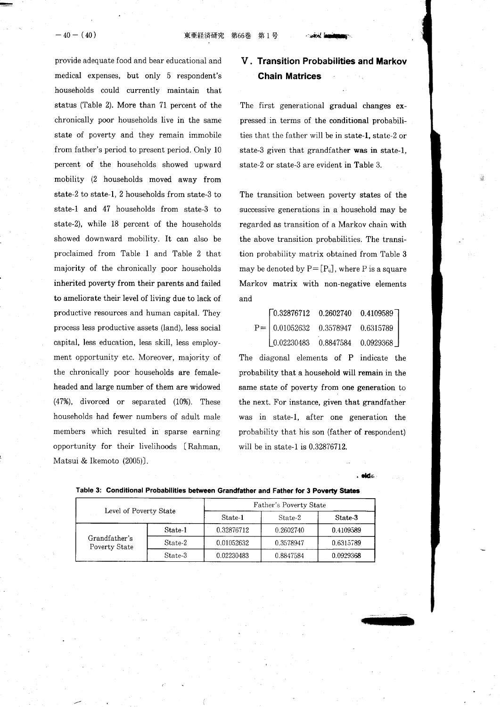provide adequate food and bear educational and medical expenses, but only 5 respondent's households could currently maintain that status (Table 2). More than 71 percent of the chronically poor households live in the same state of poverty and they remain immobile from father's period to present period. Only 10 percent of the households showed upward mobility (2 households moved away from state-2 to state-1, 2 households from state-S to state-l and 47 households from state-3 to state-2), while 18 percent of the households showed downward mobility. It can also be proclaimed from Table 1 and Table 2 that majority of the chronically poor households inherited poverty from their parents and failed to ameliorate their level of living due to lack of productive resources and human capital. They process less productive assets (land), less social capital, less education, less skill, less employment opportunity etc. Moreover, majority of the chronically poor households are femaleheaded and large number of them are widowed  $(47%)$ , divorced or separated  $(10%)$ . These households had fewer numbers of adult male members which resulted in sparse earning opportunity for their livelihoods IRahman, Matsui & Ikemoto (2005)].

# V. Transition Probabilities and Markov Chain Matrices

The first generational gradual changes expressed in terms of the conditional probabili ties that the father will be in state-l, state-2 or state-3 given that grandfather was in state-l, state-2 or state-3 are evident in Table 3.

The transition between poverty states of the successive generations in a household may be regarded as transition of a Markov chain with the above transition probabilities. The transition probability matrix obtained from Table 3 may be denoted by  $P = [P_{ij}]$ , where P is a square Markov matrix with non-negative elements and

| $\begin{bmatrix} 0.32876712 & 0.2602740 & 0.4109589 \end{bmatrix}$ |                                              |
|--------------------------------------------------------------------|----------------------------------------------|
|                                                                    | $P =   0.01052632 \t0.3578947 \t0.6315789  $ |
| $\begin{bmatrix} 0.02230483 & 0.8847584 & 0.0929368 \end{bmatrix}$ |                                              |

The diagonal elements of P indicate the probability that a household will remain in the same state of poverty from one generation to the next. For instance, given that grandfather was in state-1, after one generation the probability that his son (father of respondent) will be in state-1 is  $0.32876712$ .

|                                |                        | Father's Poverty State |           |           |  |
|--------------------------------|------------------------|------------------------|-----------|-----------|--|
|                                | Level of Poverty State |                        | State-2   | State-3   |  |
| Grandfather's<br>Poverty State | State-1                | 0.32876712             | 0.2602740 | 0.4109589 |  |
|                                | State-2                | 0.01052632             | 0.3578947 | 0.6315789 |  |
|                                | State-3                | 0.02230483             | 0.8847584 | 0.0929368 |  |

#### Table 3: Gonditional Probabilities between Grandfather and Father for 3 Poverty States



. dde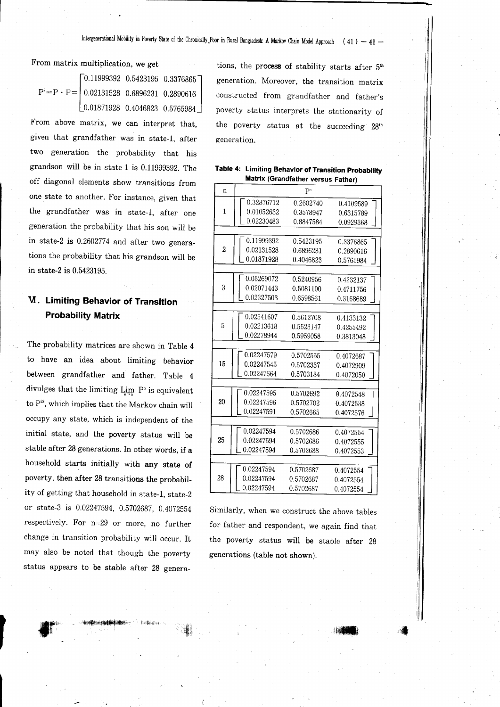From matrix multiplication, we get

$$
P^2 = P \cdot P = \begin{bmatrix} 0.11999392 & 0.5423195 & 0.3376865 \\ 0.02131528 & 0.6896231 & 0.2890616 \\ 0.01871928 & 0.4046823 & 0.5765984 \end{bmatrix}
$$

From above matrix, we can interpret that, given that grandfather was in state-1, after two generation the probability that his grandson will be in state-1 is 0.11999392. The off diagonal elements show transitions from one state to another. For instance, given that the grandfather was in state-1, after one generation the probability that his son will be in state-2 is 0.2602774 and after two generations the probability that his grandson will be in state-2 is 0.5423195.

# **V. Limiting Behavior of Transition Probability Matrix**

The probability matrices are shown in Table 4 to have an idea about limiting behavior between grandfather and father. Table 4 divulges that the limiting  $\lim P^n$  is equivalent to P<sup>28</sup>, which implies that the Markov chain will occupy any state, which is independent of the initial state, and the poverty status will be stable after 28 generations. In other words, if a household starts initially with any state of poverty, then after 28 transitions the probability of getting that household in state-1, state-2 or state-3 is 0.02247594, 0.5702687, 0.4072554 respectively. For n=29 or more, no further change in transition probability will occur. It may also be noted that though the poverty status appears to be stable after 28 genera-

tions, the process of stability starts after 5<sup>th</sup> generation. Moreover, the transition matrix constructed from grandfather and father's poverty status interprets the stationarity of the poverty status at the succeeding 28th generation.

| Table 4: Limiting Behavior of Transition Probability |  |  |
|------------------------------------------------------|--|--|
| Matrix (Grandfather versus Father)                   |  |  |

| n              |            | P <sup>n</sup> |           |  |  |  |
|----------------|------------|----------------|-----------|--|--|--|
|                | 0.32876712 | 0.2602740      | 0.4109589 |  |  |  |
| 1              | 0.01052632 | 0.3578947      | 0.6315789 |  |  |  |
|                | 0.02230483 | 0.8847584      | 0.0929368 |  |  |  |
|                |            |                |           |  |  |  |
|                | 0.11999392 | 0.5423195      | 0.3376865 |  |  |  |
| $\overline{2}$ | 0.02131528 | 0.6896231      | 0.2890616 |  |  |  |
|                | 0.01871928 | 0.4046823      | 0.5765984 |  |  |  |
|                |            |                |           |  |  |  |
|                | 0.05269072 | 0.5240956      | 0.4232137 |  |  |  |
| 3              | 0.02071443 | 0.5081100      | 0.4711756 |  |  |  |
|                | 0.02327503 | 0.6598561      | 0.3168689 |  |  |  |
|                |            |                |           |  |  |  |
|                | 0.02541607 | 0.5612708      | 0.4133132 |  |  |  |
| 5              | 0.02213618 | 0.5523147      | 0.4255492 |  |  |  |
|                | 0.02278944 | 0.5959058      | 0.3813048 |  |  |  |
|                |            |                |           |  |  |  |
|                | 0.02247579 | 0.5702555      | 0.4072687 |  |  |  |
| 15             | 0.02247545 | 0.5702337      | 0.4072909 |  |  |  |
|                | 0.02247664 | 0.5703184      | 0.4072050 |  |  |  |
|                |            |                |           |  |  |  |
|                | 0.02247595 | 0.5702692      | 0.4072548 |  |  |  |
| 20             | 0.02247596 | 0.5702702      | 0.4072538 |  |  |  |
|                | 0.02247591 | 0.5702665      | 0.4072576 |  |  |  |
|                |            |                |           |  |  |  |
|                | 0.02247594 | 0.5702686      | 0.4072554 |  |  |  |
| 25             | 0.02247594 | 0.5702686      | 0.4072555 |  |  |  |
|                | 0.02247594 | 0.5702688      | 0.4072553 |  |  |  |
|                |            |                |           |  |  |  |
|                | 0.02247594 | 0.5702687      | 0.4072554 |  |  |  |
| 28             | 0.02247594 | 0.5702687      | 0.4072554 |  |  |  |
|                | 0.02247594 | 0.5702687      | 0.4072554 |  |  |  |

Similarly, when we construct the above tables for father and respondent, we again find that the poverty status will be stable after 28 generations (table not shown).